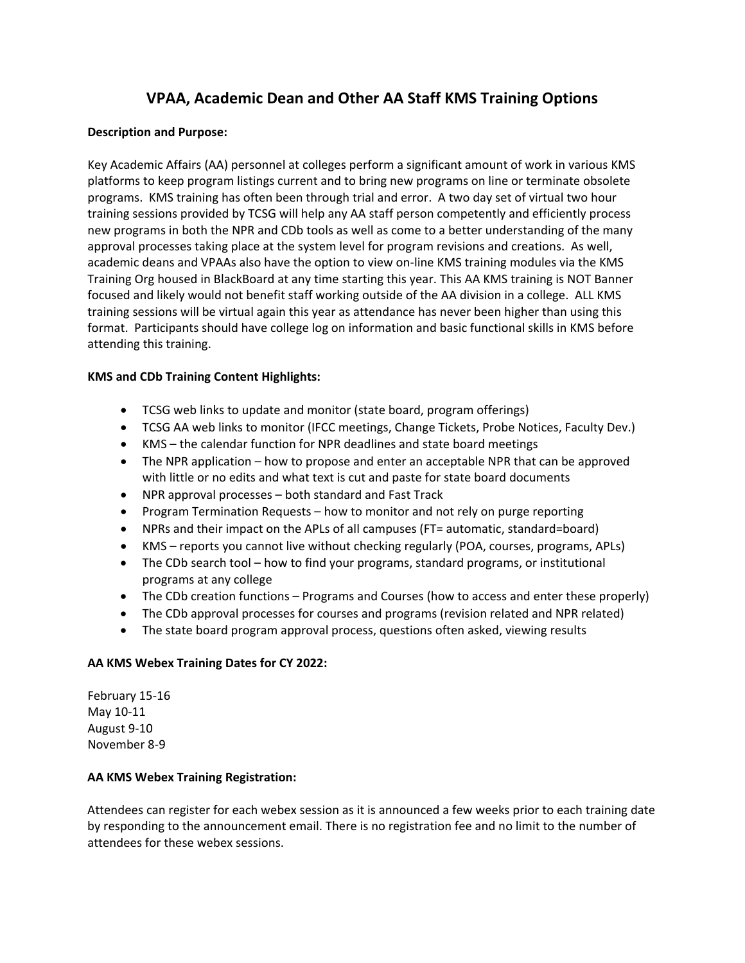# **VPAA, Academic Dean and Other AA Staff KMS Training Options**

### **Description and Purpose:**

Key Academic Affairs (AA) personnel at colleges perform a significant amount of work in various KMS platforms to keep program listings current and to bring new programs on line or terminate obsolete programs. KMS training has often been through trial and error. A two day set of virtual two hour training sessions provided by TCSG will help any AA staff person competently and efficiently process new programs in both the NPR and CDb tools as well as come to a better understanding of the many approval processes taking place at the system level for program revisions and creations. As well, academic deans and VPAAs also have the option to view on-line KMS training modules via the KMS Training Org housed in BlackBoard at any time starting this year. This AA KMS training is NOT Banner focused and likely would not benefit staff working outside of the AA division in a college. ALL KMS training sessions will be virtual again this year as attendance has never been higher than using this format. Participants should have college log on information and basic functional skills in KMS before attending this training.

### **KMS and CDb Training Content Highlights:**

- TCSG web links to update and monitor (state board, program offerings)
- TCSG AA web links to monitor (IFCC meetings, Change Tickets, Probe Notices, Faculty Dev.)
- KMS the calendar function for NPR deadlines and state board meetings
- The NPR application how to propose and enter an acceptable NPR that can be approved with little or no edits and what text is cut and paste for state board documents
- NPR approval processes both standard and Fast Track
- Program Termination Requests how to monitor and not rely on purge reporting
- NPRs and their impact on the APLs of all campuses (FT= automatic, standard=board)
- KMS reports you cannot live without checking regularly (POA, courses, programs, APLs)
- The CDb search tool how to find your programs, standard programs, or institutional programs at any college
- The CDb creation functions Programs and Courses (how to access and enter these properly)
- The CDb approval processes for courses and programs (revision related and NPR related)
- The state board program approval process, questions often asked, viewing results

### **AA KMS Webex Training Dates for CY 2022:**

February 15-16 May 10-11 August 9-10 November 8-9

### **AA KMS Webex Training Registration:**

Attendees can register for each webex session as it is announced a few weeks prior to each training date by responding to the announcement email. There is no registration fee and no limit to the number of attendees for these webex sessions.